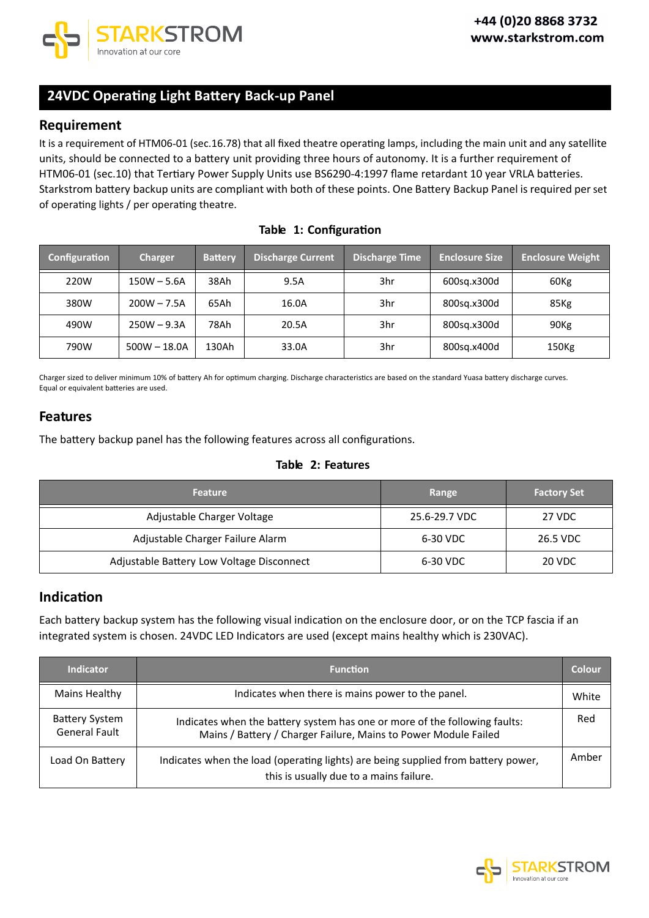

# **24VDC Operating Light Battery Back up Panel**

### **Requirement**

It is a requirement of HTM06 01 (sec.16.78) that all fixed theatre operating lamps, including the main unit and any satellite units, should be connected to a battery unit providing three hours of autonomy. It is a further requirement of HTM06-01 (sec.10) that Tertiary Power Supply Units use BS6290-4:1997 flame retardant 10 year VRLA batteries. Starkstrom battery backup units are compliant with both of these points. One Battery Backup Panel isrequired per set of operating lights / per operating theatre.

| Configuration | <b>Charger</b> | <b>Battery</b> | <b>Discharge Current</b> | <b>Discharge Time</b> | <b>Enclosure Size</b> | <b>Enclosure Weight</b> |
|---------------|----------------|----------------|--------------------------|-----------------------|-----------------------|-------------------------|
| 220W          | $150W - 5.6A$  | 38Ah           | 9.5A                     | 3hr                   | 600sg.x300d           | 60Kg                    |
| 380W          | $200W - 7.5A$  | 65Ah           | 16.0A                    | 3hr                   | 800sg.x300d           | 85Kg                    |
| 490W          | $250W - 9.3A$  | 78Ah           | 20.5A                    | 3hr                   | 800sg.x300d           | 90 <sub>Kg</sub>        |
| 790W          | $500W - 18.0A$ | 130Ah          | 33.0A                    | 3hr                   | 800sg.x400d           | 150Kg                   |

**Table 1: Configuration**

Charger sized to deliver minimum 10% of battery Ah for optimum charging. Discharge characteristics are based on the standard Yuasa battery discharge curves. Equal or equivalent batteries are used.

### **Features**

The battery backup panel has the following features across all configurations.

#### **Table 2: Features**

| <b>Feature</b>                            | Range         | <b>Factory Set</b> |
|-------------------------------------------|---------------|--------------------|
| Adjustable Charger Voltage                | 25.6-29.7 VDC | 27 VDC             |
| Adjustable Charger Failure Alarm          | 6-30 VDC      | 26.5 VDC           |
| Adjustable Battery Low Voltage Disconnect | 6-30 VDC      | 20 VDC             |

### **Indication**

Each battery backup system has the following visual indication on the enclosure door, or on the TCP fascia if an integrated system is chosen. 24VDC LED Indicators are used (except mains healthy which is 230VAC).

| <b>Indicator</b>                              | <b>Function</b>                                                                                                                               | <b>Colour</b> |
|-----------------------------------------------|-----------------------------------------------------------------------------------------------------------------------------------------------|---------------|
| Mains Healthy                                 | Indicates when there is mains power to the panel.                                                                                             | White         |
| <b>Battery System</b><br><b>General Fault</b> | Indicates when the battery system has one or more of the following faults:<br>Mains / Battery / Charger Failure, Mains to Power Module Failed | Red           |
| Load On Battery                               | Indicates when the load (operating lights) are being supplied from battery power,<br>this is usually due to a mains failure.                  | Amber         |